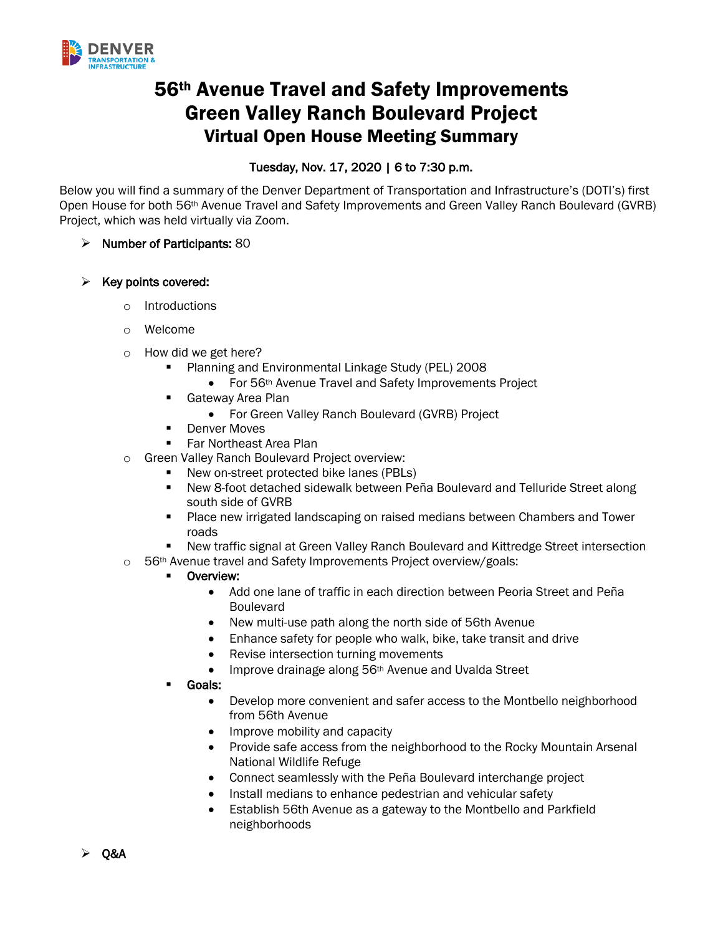

# 56th Avenue Travel and Safety Improvements Green Valley Ranch Boulevard Project Virtual Open House Meeting Summary

# Tuesday, Nov. 17, 2020 | 6 to 7:30 p.m.

Below you will find a summary of the Denver Department of Transportation and Infrastructure's (DOTI's) first Open House for both 56th Avenue Travel and Safety Improvements and Green Valley Ranch Boulevard (GVRB) Project, which was held virtually via Zoom.

- $\triangleright$  Number of Participants: 80
- $\triangleright$  Key points covered:
	- o Introductions
	- o Welcome
	- o How did we get here?
		- Planning and Environmental Linkage Study (PEL) 2008
			- For 56<sup>th</sup> Avenue Travel and Safety Improvements Project
		- Gateway Area Plan
			- For Green Valley Ranch Boulevard (GVRB) Project
		- Denver Moves
		- Far Northeast Area Plan
	- o Green Valley Ranch Boulevard Project overview:
		- New on-street protected bike lanes (PBLs)
		- New 8-foot detached sidewalk between Peña Boulevard and Telluride Street along south side of GVRB
		- Place new irrigated landscaping on raised medians between Chambers and Tower roads
		- New traffic signal at Green Valley Ranch Boulevard and Kittredge Street intersection
	- o 56<sup>th</sup> Avenue travel and Safety Improvements Project overview/goals:

#### ■ Overview:

- Add one lane of traffic in each direction between Peoria Street and Peña Boulevard
- New multi-use path along the north side of 56th Avenue
- Enhance safety for people who walk, bike, take transit and drive
- Revise intersection turning movements
- Improve drainage along 56<sup>th</sup> Avenue and Uvalda Street
- § Goals:
	- Develop more convenient and safer access to the Montbello neighborhood from 56th Avenue
	- Improve mobility and capacity
	- Provide safe access from the neighborhood to the Rocky Mountain Arsenal National Wildlife Refuge
	- Connect seamlessly with the Peña Boulevard interchange project
	- Install medians to enhance pedestrian and vehicular safety
	- Establish 56th Avenue as a gateway to the Montbello and Parkfield neighborhoods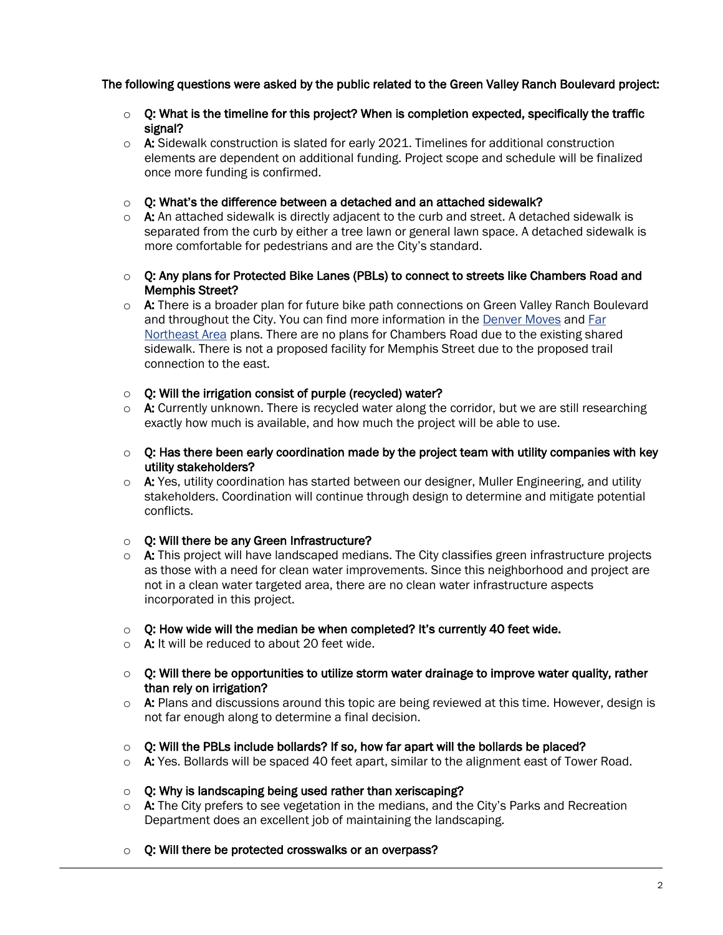## The following questions were asked by the public related to the Green Valley Ranch Boulevard project:

- $\circ$  Q: What is the timeline for this project? When is completion expected, specifically the traffic signal?
- $\circ$  A: Sidewalk construction is slated for early 2021. Timelines for additional construction elements are dependent on additional funding. Project scope and schedule will be finalized once more funding is confirmed.
- $\circ$  Q: What's the difference between a detached and an attached sidewalk?
- $\circ$  A: An attached sidewalk is directly adjacent to the curb and street. A detached sidewalk is separated from the curb by either a tree lawn or general lawn space. A detached sidewalk is more comfortable for pedestrians and are the City's standard.
- $\circ$  Q: Any plans for Protected Bike Lanes (PBLs) to connect to streets like Chambers Road and Memphis Street?
- $\circ$  A: There is a broader plan for future bike path connections on Green Valley Ranch Boulevard and throughout the City. You can find more information in the Denver Moves and Far Northeast Area plans. There are no plans for Chambers Road due to the existing shared sidewalk. There is not a proposed facility for Memphis Street due to the proposed trail connection to the east.
- $\circ$  Q: Will the irrigation consist of purple (recycled) water?
- $\circ$  A: Currently unknown. There is recycled water along the corridor, but we are still researching exactly how much is available, and how much the project will be able to use.
- $\circ$  Q: Has there been early coordination made by the project team with utility companies with key utility stakeholders?
- $\circ$  A: Yes, utility coordination has started between our designer, Muller Engineering, and utility stakeholders. Coordination will continue through design to determine and mitigate potential conflicts.
- o Q: Will there be any Green Infrastructure?
- $\circ$  A: This project will have landscaped medians. The City classifies green infrastructure projects as those with a need for clean water improvements. Since this neighborhood and project are not in a clean water targeted area, there are no clean water infrastructure aspects incorporated in this project.
- $\circ$  Q: How wide will the median be when completed? It's currently 40 feet wide.
- $\circ$  A: It will be reduced to about 20 feet wide.
- $\circ$  Q: Will there be opportunities to utilize storm water drainage to improve water quality, rather than rely on irrigation?
- o A: Plans and discussions around this topic are being reviewed at this time. However, design is not far enough along to determine a final decision.
- $\circ$  Q: Will the PBLs include bollards? If so, how far apart will the bollards be placed?
- $\circ$  A: Yes. Bollards will be spaced 40 feet apart, similar to the alignment east of Tower Road.
- $\circ$  Q: Why is landscaping being used rather than xeriscaping?
- $\circ$  A: The City prefers to see vegetation in the medians, and the City's Parks and Recreation Department does an excellent job of maintaining the landscaping.
- Q: Will there be protected crosswalks or an overpass?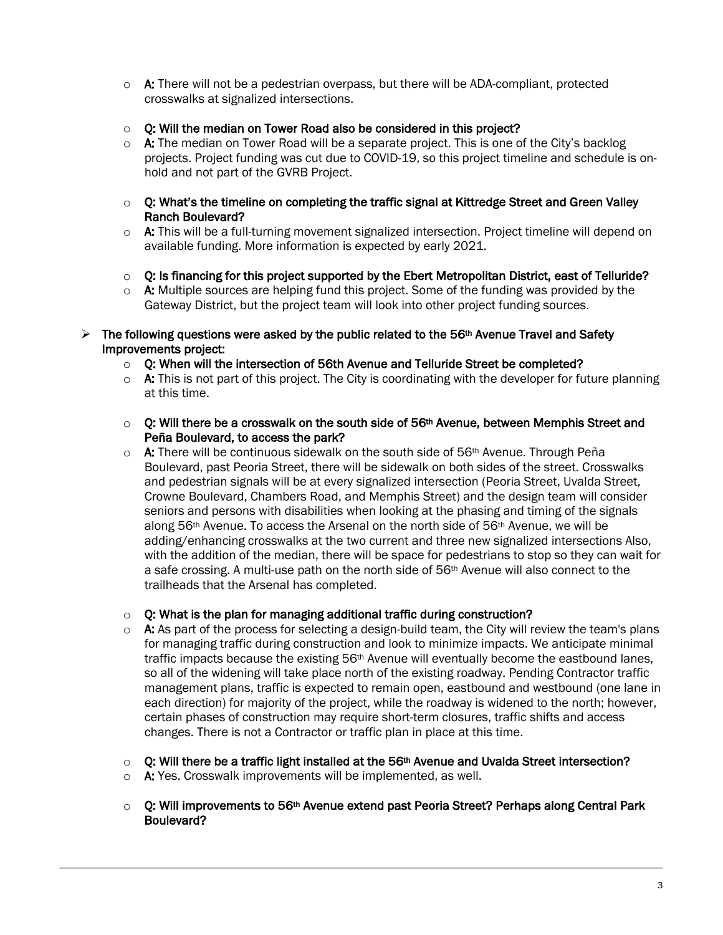- $\circ$  A: There will not be a pedestrian overpass, but there will be ADA-compliant, protected crosswalks at signalized intersections.
- $\circ$  Q: Will the median on Tower Road also be considered in this project?
- $\circ$  A: The median on Tower Road will be a separate project. This is one of the City's backlog projects. Project funding was cut due to COVID-19, so this project timeline and schedule is onhold and not part of the GVRB Project.
- $\circ$  Q: What's the timeline on completing the traffic signal at Kittredge Street and Green Valley Ranch Boulevard?
- $\circ$  A: This will be a full-turning movement signalized intersection. Project timeline will depend on available funding. More information is expected by early 2021.
- $\circ$  Q: Is financing for this project supported by the Ebert Metropolitan District, east of Telluride?
- $\circ$  A: Multiple sources are helping fund this project. Some of the funding was provided by the Gateway District, but the project team will look into other project funding sources.
- $\triangleright$  The following questions were asked by the public related to the 56<sup>th</sup> Avenue Travel and Safety Improvements project:
	- $\circ$  Q: When will the intersection of 56th Avenue and Telluride Street be completed?
	- $\circ$  A: This is not part of this project. The City is coordinating with the developer for future planning at this time.
	- $\circ$  Q: Will there be a crosswalk on the south side of 56<sup>th</sup> Avenue, between Memphis Street and Peña Boulevard, to access the park?
	- $\circ$  A: There will be continuous sidewalk on the south side of 56<sup>th</sup> Avenue. Through Peña Boulevard, past Peoria Street, there will be sidewalk on both sides of the street. Crosswalks and pedestrian signals will be at every signalized intersection (Peoria Street, Uvalda Street, Crowne Boulevard, Chambers Road, and Memphis Street) and the design team will consider seniors and persons with disabilities when looking at the phasing and timing of the signals along 56th Avenue. To access the Arsenal on the north side of 56th Avenue, we will be adding/enhancing crosswalks at the two current and three new signalized intersections Also, with the addition of the median, there will be space for pedestrians to stop so they can wait for a safe crossing. A multi-use path on the north side of 56th Avenue will also connect to the trailheads that the Arsenal has completed.

#### $\circ$  Q: What is the plan for managing additional traffic during construction?

- $\circ$  A: As part of the process for selecting a design-build team, the City will review the team's plans for managing traffic during construction and look to minimize impacts. We anticipate minimal traffic impacts because the existing 56<sup>th</sup> Avenue will eventually become the eastbound lanes, so all of the widening will take place north of the existing roadway. Pending Contractor traffic management plans, traffic is expected to remain open, eastbound and westbound (one lane in each direction) for majority of the project, while the roadway is widened to the north; however, certain phases of construction may require short-term closures, traffic shifts and access changes. There is not a Contractor or traffic plan in place at this time.
- $\circ$  O: Will there be a traffic light installed at the 56<sup>th</sup> Avenue and Uvalda Street intersection?
- o **A:** Yes. Crosswalk improvements will be implemented, as well.
- $\circ$  Q: Will improvements to 56<sup>th</sup> Avenue extend past Peoria Street? Perhaps along Central Park Boulevard?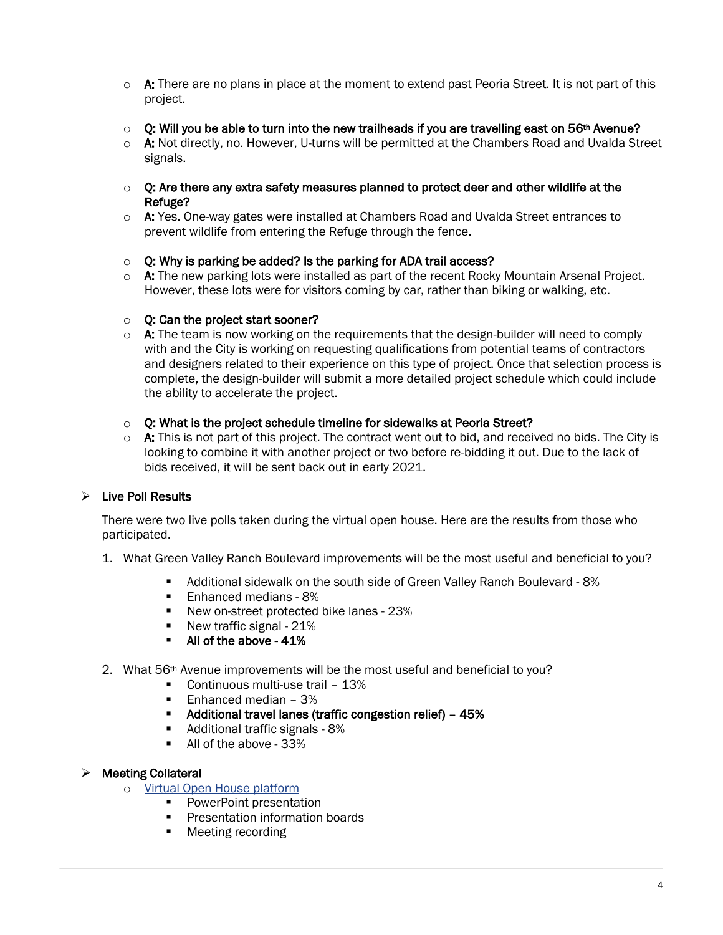- $\circ$  A: There are no plans in place at the moment to extend past Peoria Street. It is not part of this project.
- $\circ$  Q: Will you be able to turn into the new trailheads if you are travelling east on 56<sup>th</sup> Avenue?
- $\circ$  A: Not directly, no. However, U-turns will be permitted at the Chambers Road and Uvalda Street signals.
- $\circ$  O: Are there any extra safety measures planned to protect deer and other wildlife at the Refuge?
- $\circ$  A: Yes. One-way gates were installed at Chambers Road and Uvalda Street entrances to prevent wildlife from entering the Refuge through the fence.
- $\circ$  O: Why is parking be added? Is the parking for ADA trail access?
- $\circ$  A: The new parking lots were installed as part of the recent Rocky Mountain Arsenal Project. However, these lots were for visitors coming by car, rather than biking or walking, etc.

## $\circ$  O: Can the project start sooner?

- $\circ$  A: The team is now working on the requirements that the design-builder will need to comply with and the City is working on requesting qualifications from potential teams of contractors and designers related to their experience on this type of project. Once that selection process is complete, the design-builder will submit a more detailed project schedule which could include the ability to accelerate the project.
- $\circ$  Q: What is the project schedule timeline for sidewalks at Peoria Street?
- $\circ$  A: This is not part of this project. The contract went out to bid, and received no bids. The City is looking to combine it with another project or two before re-bidding it out. Due to the lack of bids received, it will be sent back out in early 2021.

## $\triangleright$  Live Poll Results

There were two live polls taken during the virtual open house. Here are the results from those who participated.

- 1. What Green Valley Ranch Boulevard improvements will be the most useful and beneficial to you?
	- § Additional sidewalk on the south side of Green Valley Ranch Boulevard 8%
		- Enhanced medians 8%
		- New on-street protected bike lanes 23%
		- New traffic signal 21%
		- All of the above 41%
- 2. What 56th Avenue improvements will be the most useful and beneficial to you?
	- Continuous multi-use trail 13%
	- Enhanced median 3%
	- § Additional travel lanes (traffic congestion relief) 45%
	- § Additional traffic signals 8%
	- All of the above 33%

#### $\triangleright$  Meeting Collateral

- o Virtual Open House platform
	- PowerPoint presentation
	- **•** Presentation information boards
	- Meeting recording